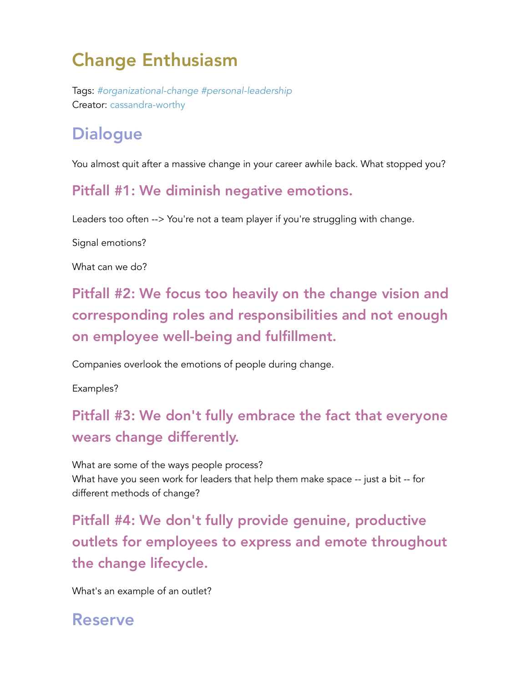# Change Enthusiasm

Tags: *#organizational-change #personal-leadership* Creator: cassandra-worthy

# **Dialogue**

You almost quit after a massive change in your career awhile back. What stopped you?

#### Pitfall #1: We diminish negative emotions.

Leaders too often --> You're not a team player if you're struggling with change.

Signal emotions?

What can we do?

# Pitfall #2: We focus too heavily on the change vision and corresponding roles and responsibilities and not enough on employee well-being and fulfillment.

Companies overlook the emotions of people during change.

Examples?

## Pitfall #3: We don't fully embrace the fact that everyone wears change differently.

What are some of the ways people process? What have you seen work for leaders that help them make space -- just a bit -- for different methods of change?

Pitfall #4: We don't fully provide genuine, productive outlets for employees to express and emote throughout the change lifecycle.

What's an example of an outlet?

Reserve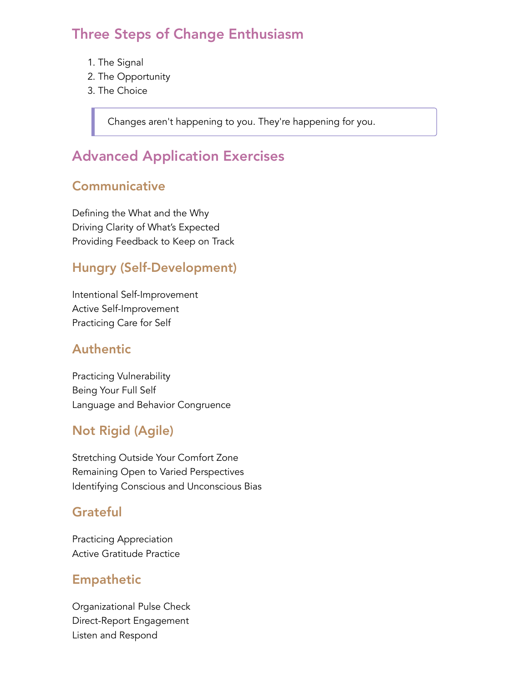#### Three Steps of Change Enthusiasm

- 1. The Signal
- 2. The Opportunity
- 3. The Choice

Changes aren't happening to you. They're happening for you.

#### Advanced Application Exercises

#### Communicative

Defining the What and the Why Driving Clarity of What's Expected Providing Feedback to Keep on Track

#### Hungry (Self-Development)

Intentional Self-Improvement Active Self-Improvement Practicing Care for Self

#### Authentic

Practicing Vulnerability Being Your Full Self Language and Behavior Congruence

#### Not Rigid (Agile)

Stretching Outside Your Comfort Zone Remaining Open to Varied Perspectives Identifying Conscious and Unconscious Bias

#### Grateful

Practicing Appreciation Active Gratitude Practice

#### Empathetic

Organizational Pulse Check Direct-Report Engagement Listen and Respond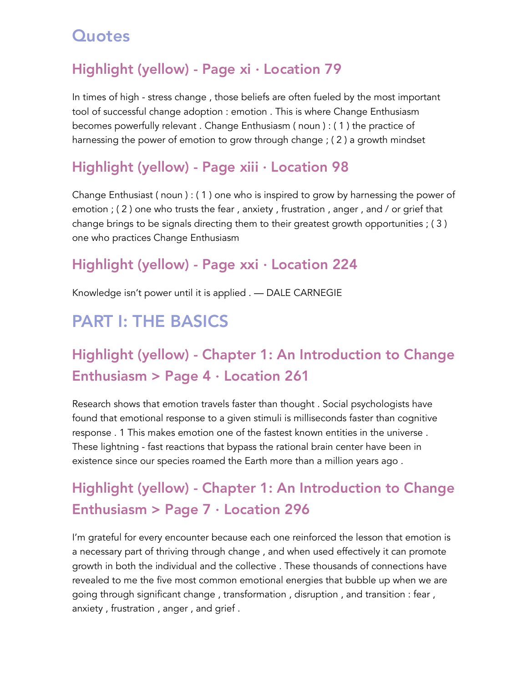#### **Quotes**

#### Highlight (yellow) - Page xi · Location 79

In times of high - stress change , those beliefs are often fueled by the most important tool of successful change adoption : emotion . This is where Change Enthusiasm becomes powerfully relevant . Change Enthusiasm ( noun ) : ( 1 ) the practice of harnessing the power of emotion to grow through change ; ( 2 ) a growth mindset

#### Highlight (yellow) - Page xiii · Location 98

Change Enthusiast ( noun ) : ( 1 ) one who is inspired to grow by harnessing the power of emotion ; ( 2 ) one who trusts the fear , anxiety , frustration , anger , and / or grief that change brings to be signals directing them to their greatest growth opportunities ; ( 3 ) one who practices Change Enthusiasm

#### Highlight (yellow) - Page xxi · Location 224

Knowledge isn't power until it is applied . — DALE CARNEGIE

# PART I: THE BASICS

### Highlight (yellow) - Chapter 1: An Introduction to Change Enthusiasm > Page  $4 \cdot$  Location 261

Research shows that emotion travels faster than thought . Social psychologists have found that emotional response to a given stimuli is milliseconds faster than cognitive response . 1 This makes emotion one of the fastest known entities in the universe . These lightning - fast reactions that bypass the rational brain center have been in existence since our species roamed the Earth more than a million years ago .

### Highlight (yellow) - Chapter 1: An Introduction to Change Enthusiasm > Page  $7 \cdot$  Location 296

I'm grateful for every encounter because each one reinforced the lesson that emotion is a necessary part of thriving through change , and when used effectively it can promote growth in both the individual and the collective . These thousands of connections have revealed to me the five most common emotional energies that bubble up when we are going through significant change , transformation , disruption , and transition : fear , anxiety , frustration , anger , and grief .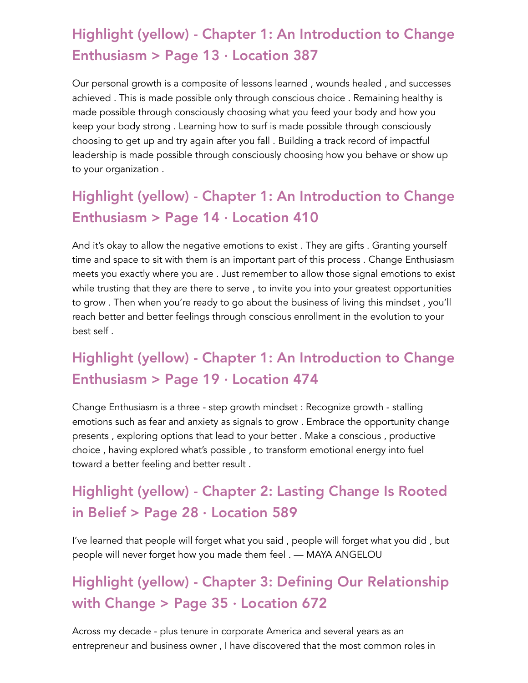### Highlight (yellow) - Chapter 1: An Introduction to Change Enthusiasm > Page  $13 \cdot$  Location 387

Our personal growth is a composite of lessons learned , wounds healed , and successes achieved . This is made possible only through conscious choice . Remaining healthy is made possible through consciously choosing what you feed your body and how you keep your body strong . Learning how to surf is made possible through consciously choosing to get up and try again after you fall . Building a track record of impactful leadership is made possible through consciously choosing how you behave or show up to your organization .

### Highlight (yellow) - Chapter 1: An Introduction to Change Enthusiasm > Page  $14 \cdot$  Location 410

And it's okay to allow the negative emotions to exist . They are gifts . Granting yourself time and space to sit with them is an important part of this process . Change Enthusiasm meets you exactly where you are . Just remember to allow those signal emotions to exist while trusting that they are there to serve , to invite you into your greatest opportunities to grow . Then when you're ready to go about the business of living this mindset , you'll reach better and better feelings through conscious enrollment in the evolution to your best self .

### Highlight (yellow) - Chapter 1: An Introduction to Change Enthusiasm > Page  $19 \cdot$  Location 474

Change Enthusiasm is a three - step growth mindset : Recognize growth - stalling emotions such as fear and anxiety as signals to grow . Embrace the opportunity change presents , exploring options that lead to your better . Make a conscious , productive choice , having explored what's possible , to transform emotional energy into fuel toward a better feeling and better result .

#### Highlight (yellow) - Chapter 2: Lasting Change Is Rooted in Belief > Page 28 · Location 589

I've learned that people will forget what you said , people will forget what you did , but people will never forget how you made them feel . — MAYA ANGELOU

#### Highlight (yellow) - Chapter 3: Defining Our Relationship with Change  $>$  Page 35  $\cdot$  Location 672

Across my decade - plus tenure in corporate America and several years as an entrepreneur and business owner , I have discovered that the most common roles in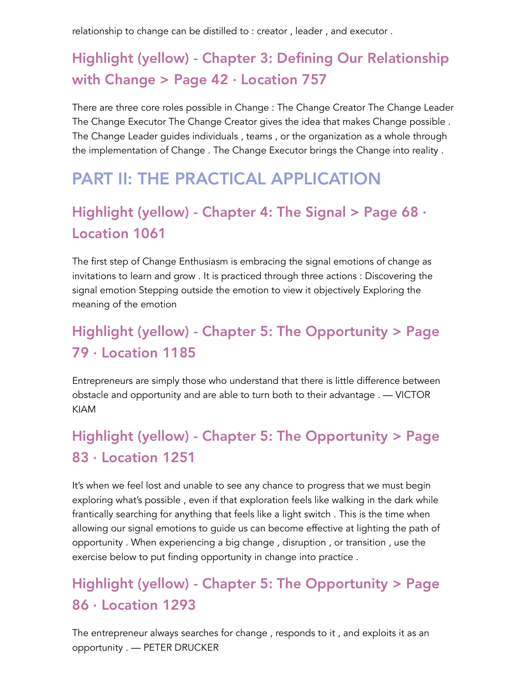relationship to change can be distilled to : creator , leader , and executor .

## Highlight (yellow) - Chapter 3: Defining Our Relationship with Change  $>$  Page 42  $\cdot$  Location 757

There are three core roles possible in Change : The Change Creator The Change Leader The Change Executor The Change Creator gives the idea that makes Change possible . The Change Leader guides individuals , teams , or the organization as a whole through the implementation of Change . The Change Executor brings the Change into reality .

# PART II: THE PRACTICAL APPLICATION

#### Highlight (yellow) - Chapter 4: The Signal  $>$  Page 68  $\cdot$ Location 1061

The first step of Change Enthusiasm is embracing the signal emotions of change as invitations to learn and grow . It is practiced through three actions : Discovering the signal emotion Stepping outside the emotion to view it objectively Exploring the meaning of the emotion

### Highlight (yellow) - Chapter 5: The Opportunity > Page 79 · Location 1185

Entrepreneurs are simply those who understand that there is little difference between obstacle and opportunity and are able to turn both to their advantage . — VICTOR KIAM

# Highlight (yellow) - Chapter 5: The Opportunity > Page 83 · Location 1251

It's when we feel lost and unable to see any chance to progress that we must begin exploring what's possible , even if that exploration feels like walking in the dark while frantically searching for anything that feels like a light switch . This is the time when allowing our signal emotions to guide us can become effective at lighting the path of opportunity . When experiencing a big change , disruption , or transition , use the exercise below to put finding opportunity in change into practice .

### Highlight (yellow) - Chapter 5: The Opportunity > Page 86 · Location 1293

The entrepreneur always searches for change , responds to it , and exploits it as an opportunity . — PETER DRUCKER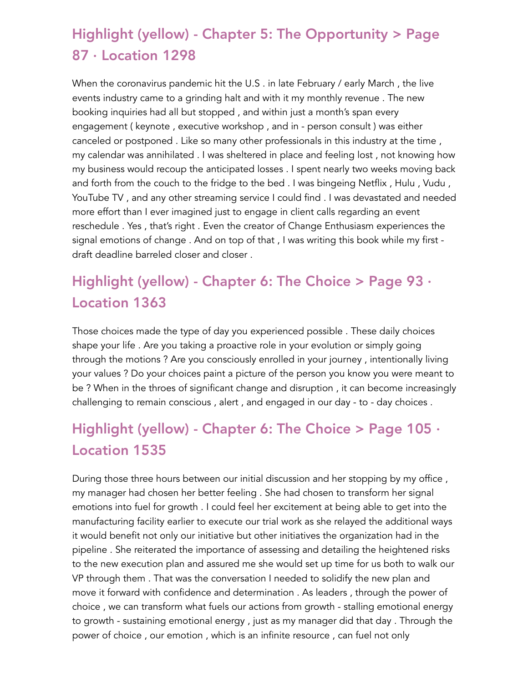### Highlight (yellow) - Chapter 5: The Opportunity > Page 87 · Location 1298

When the coronavirus pandemic hit the U.S . in late February / early March , the live events industry came to a grinding halt and with it my monthly revenue . The new booking inquiries had all but stopped , and within just a month's span every engagement ( keynote , executive workshop , and in - person consult ) was either canceled or postponed . Like so many other professionals in this industry at the time , my calendar was annihilated . I was sheltered in place and feeling lost , not knowing how my business would recoup the anticipated losses . I spent nearly two weeks moving back and forth from the couch to the fridge to the bed . I was bingeing Netflix , Hulu , Vudu , YouTube TV , and any other streaming service I could find . I was devastated and needed more effort than I ever imagined just to engage in client calls regarding an event reschedule . Yes , that's right . Even the creator of Change Enthusiasm experiences the signal emotions of change . And on top of that , I was writing this book while my first draft deadline barreled closer and closer .

## Highlight (yellow) - Chapter 6: The Choice > Page 93  $\cdot$ Location 1363

Those choices made the type of day you experienced possible . These daily choices shape your life . Are you taking a proactive role in your evolution or simply going through the motions ? Are you consciously enrolled in your journey , intentionally living your values ? Do your choices paint a picture of the person you know you were meant to be ? When in the throes of significant change and disruption , it can become increasingly challenging to remain conscious , alert , and engaged in our day - to - day choices .

### Highlight (yellow) - Chapter 6: The Choice > Page  $105 \cdot$ Location 1535

During those three hours between our initial discussion and her stopping by my office , my manager had chosen her better feeling . She had chosen to transform her signal emotions into fuel for growth . I could feel her excitement at being able to get into the manufacturing facility earlier to execute our trial work as she relayed the additional ways it would benefit not only our initiative but other initiatives the organization had in the pipeline . She reiterated the importance of assessing and detailing the heightened risks to the new execution plan and assured me she would set up time for us both to walk our VP through them . That was the conversation I needed to solidify the new plan and move it forward with confidence and determination . As leaders , through the power of choice , we can transform what fuels our actions from growth - stalling emotional energy to growth - sustaining emotional energy , just as my manager did that day . Through the power of choice , our emotion , which is an infinite resource , can fuel not only